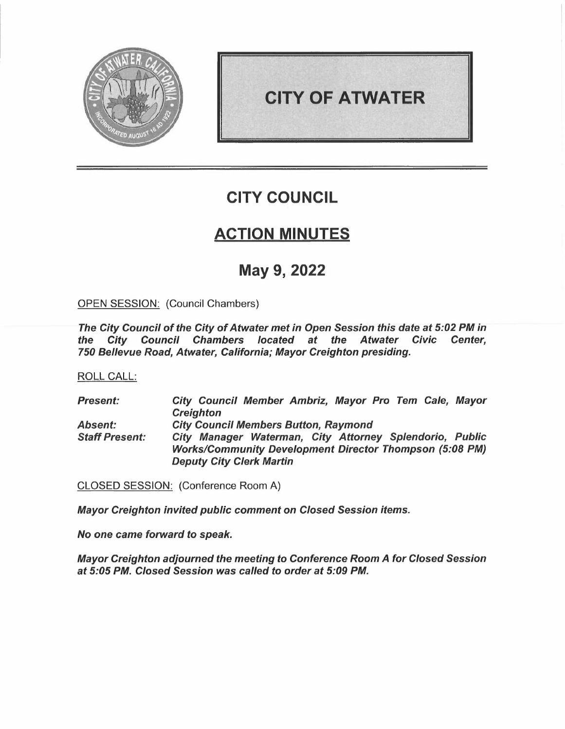

# **CITY OF ATWATER**

# **CITY COUNCIL**

# **ACTION MINUTES**

# **May 9, 2022**

OPEN SESSION: (Council Chambers)

*The City Council of the City of Atwater met in Open Session this date at 5:02 PM in the City Council Chambers located at the Atwater Civic Center, 750 Bellevue Road, Atwater, California; Mayor Creighton presiding.* 

ROLL CALL:

*Present: Absent: Staff Present: City Council Member Ambriz, Mayor Pro Tem Cale, Mayor Creighton City Council Members Button, Raymond City Manager Waterman, City Attorney Splendorio, Public Works/Community Development Director Thompson (5:08 PM) Deputy City Clerk Martin* 

CLOSED SESSION: (Conference Room A)

*Mayor Creighton invited public comment on Closed Session items.* 

*No one came forward to speak.* 

*Mayor Creighton adjourned the meeting to Conference Room A for Closed Session at 5:05 PM. Closed Session was called to order at 5:09 PM.*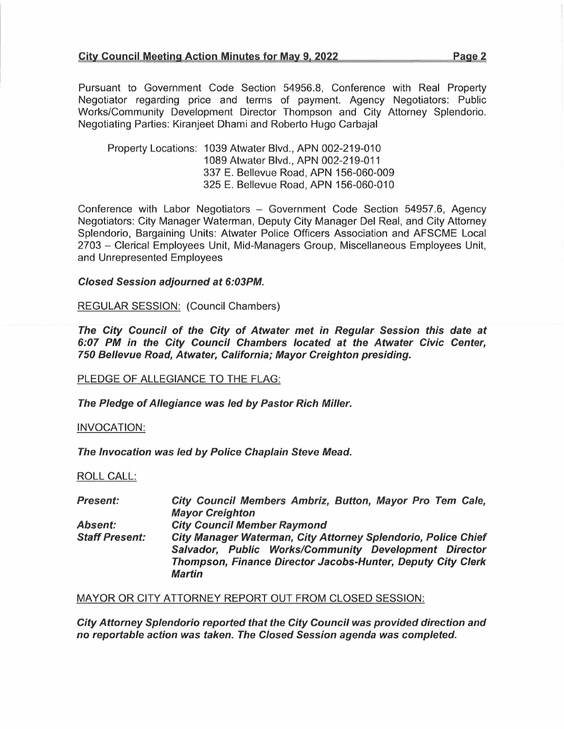Pursuant to Government Code Section 54956.8, Conference with Real Property Negotiator regarding price and terms of payment. Agency Negotiators: Public Works/Community Development Director Thompson and City Attorney Splendorio. Negotiating Parties: Kiranjeet Dhami and Roberto Hugo Carbajal

Property Locations: 1039 Atwater Blvd., APN 002-219-010 1089 Atwater Blvd., APN 002-219-011 337 E. Bellevue Road, APN 156-060-009 325 E. Bellevue Road, APN 156-060-010

Conference with Labor Negotiators - Government Code Section 54957.6, Agency Negotiators: City Manager Waterman, Deputy City Manager Del Real, and City Attorney Splendorio, Bargaining Units: Atwater Police Officers Association and AFSCME Local 2703 - Clerical Employees Unit, Mid-Managers Group, Miscellaneous Employees Unit, and Unrepresented Employees

# *Closed Session adjourned at 6:03PM.*

REGULAR SESSION: (Council Chambers)

*The City Council of the City of Atwater met in Regular Session this date at 6:07 PM in the City Council Chambers located at the Atwater Civic Center, 750 Bellevue Road, Atwater, California; Mayor Creighton presiding.* 

PLEDGE OF ALLEGIANCE TO THE FLAG:

*The Pledge of Allegiance was led by Pastor Rich Miller.* 

INVOCATION:

*The Invocation was led by Police Chaplain Steve Mead.* 

ROLL CALL:

| <b>Present:</b>       | City Council Members Ambriz, Button, Mayor Pro Tem Cale,           |
|-----------------------|--------------------------------------------------------------------|
|                       | <b>Mayor Creighton</b>                                             |
| <b>Absent:</b>        | <b>City Council Member Raymond</b>                                 |
| <b>Staff Present:</b> | City Manager Waterman, City Attorney Splendorio, Police Chief      |
|                       | Salvador, Public Works/Community Development Director              |
|                       | <b>Thompson, Finance Director Jacobs-Hunter, Deputy City Clerk</b> |
|                       | <b>Martin</b>                                                      |

MAYOR OR CITY ATTORNEY REPORT OUT FROM CLOSED SESSION:

*City Attorney Splendorio reported that the City Council was provided direction and no reportable action was taken. The Closed Session agenda was completed.*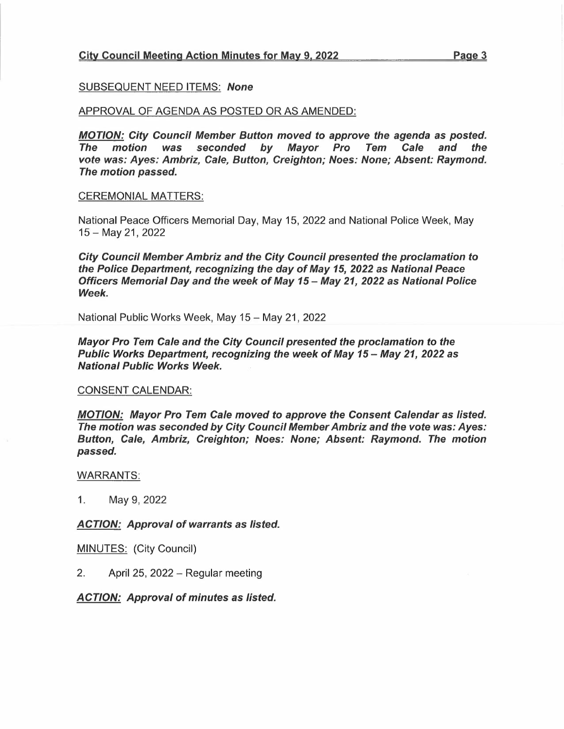# City Council Meeting Action Minutes for May 9. 2022 Page 3

#### SUBSEQUENT NEED ITEMS: *None*

#### APPROVAL OF AGENDA AS POSTED OR AS AMENDED:

*MOTION: City Council Member Button moved to approve the agenda* **as** *posted. The motion was seconded by Mayor Pro Tem Cale and the vote was: Ayes: Ambriz, Cale, Button, Creighton; Noes: None; Absent: Raymond. The motion passed.* 

#### CEREMONIAL MATTERS:

National Peace Officers Memorial Day, May 15, 2022 and National Police Week, May 15- May 21, 2022

*City Council Member Ambriz and the City Council presented the proclamation to the Police Department, recognizing the day of May 15, 2022* **as** *National Peace Officers Memorial Day and the week of May 15 - May 21, 2022* **as** *National Police Week.* 

National Public Works Week, May 15 - May 21, 2022

*Mayor Pro Tem Cale and the City Council presented the proclamation to the Public Works Department, recognizing the week of May 15- May 21, 2022* **as**  *National Public Works Week.* 

#### CONSENT CALENDAR:

*MOTION: Mayor Pro Tem Cale moved to approve the Consent Calendar as listed. The motion was seconded by City Council Member Ambriz and the vote was: Ayes: Button, Cale, Ambriz, Creighton; Noes: None; Absent: Raymond. The motion passed.* 

#### WARRANTS:

1. May 9, 2022

*ACTION: Approval of warrants* **as** *listed.* 

MINUTES: (City Council)

2. April 25, 2022 - Regular meeting

*ACTION: Approval of minutes* **as** *listed.*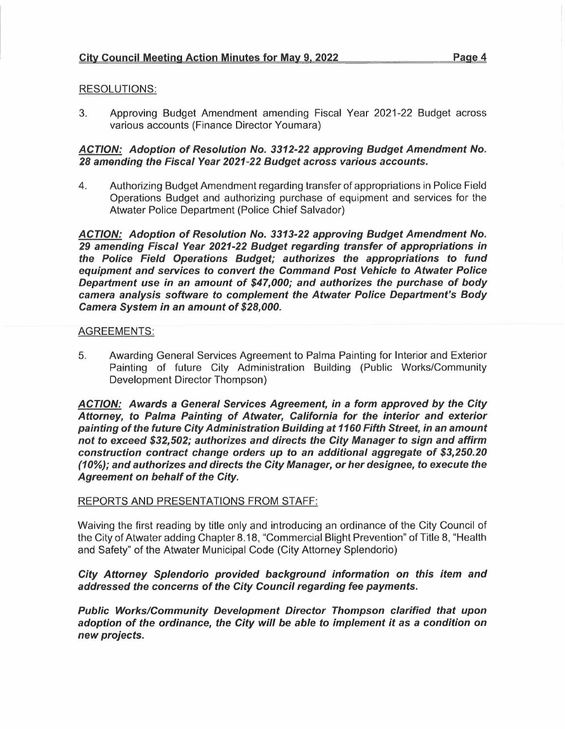# RESOLUTIONS:

3. Approving Budget Amendment amending Fiscal Year 2021-22 Budget across various accounts (Finance Director Youmara)

# *ACTION: Adoption of Resolution No. 3312-22 approving Budget Amendment No. 28 amending the Fiscal Year 2021-22 Budget across various accounts.*

4. Authorizing Budget Amendment regarding transfer of appropriations in Police Field Operations Budget and authorizing purchase of equipment and services for the Atwater Police Department (Police Chief Salvador)

*ACTION: Adoption of Resolution No. 3313-22 approving Budget Amendment No. 29 amending Fiscal Year 2021-22 Budget regarding transfer of appropriations in the Police Field Operations Budget; authorizes the appropriations to fund equipment and services to convert the Command Post Vehicle to Atwater Police Department use in an amount of \$47,000; and authorizes the purchase of body camera analysis so'ftware to complement the Atwater Police Department's Body Camera System in an amount of \$28,000.* 

### AGREEMENTS:

5. Awarding General Services Agreement to Palma Painting for Interior and Exterior Painting of future City Administration Building (Public Works/Community Development Director Thompson)

*ACTION: Awards* **a** *General Services Agreement, in a form approved by the City Attorney, to Palma Painting of Atwater, California for the interior and exterior painting of the future City Administration Building at 1160 Fifth Street, in an amount not to exceed \$32,502; authorizes and directs the City Manager to sign and affirm construction contract change orders up to an additional aggregate of \$3,250.20 (10%); and authorizes and directs the City Manager, or her designee, to execute the Agreement on behalf of the City.* 

# REPORTS AND PRESENTATIONS FROM STAFF:

Waiving the first reading by title only and introducing an ordinance of the City Council of the City of Atwater adding Chapter 8.18, "Commercial Blight Prevention" of Title 8, "Health and Safety" of the Atwater Municipal Code (City Attorney Splendorio)

# *City Attorney Splendorio provided background information on this item and addressed the concerns of the City Council regarding fee payments.*

*Public Works/Community Development Director Thompson clarified that upon adoption of the ordinance, the City will be able to implement it* **as** *a condition on new projects.*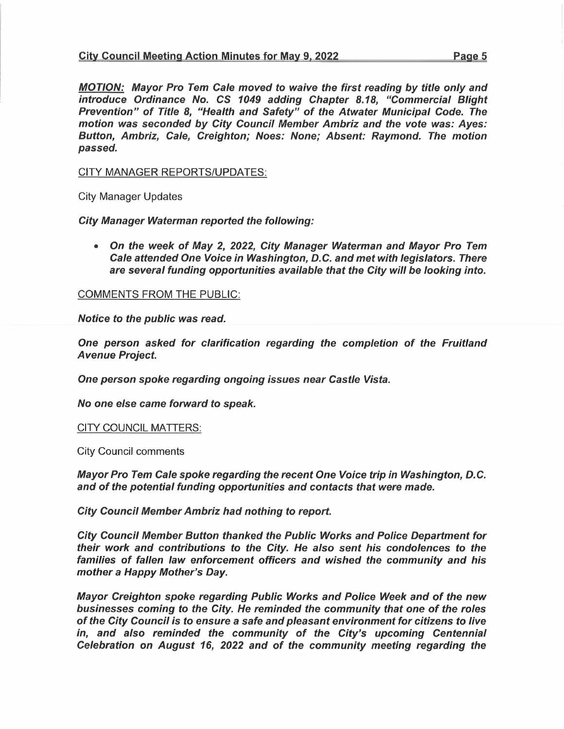*MOTION: Mayor Pro* Tern *Cale moved to waive the first reading by title only and introduce Ordinance No. CS 1049 adding Chapter 8.18, "Commercial Blight Prevention" of Title 8, "Health and Safety" of the Atwater Municipal Code. The motion was seconded by City Council Member Ambriz and the vote was: Ayes: Button, Ambriz, Cale, Creighton; Noes: None; Absent: Raymond. The motion passed.* 

# CITY MANAGER REPORTS/UPDATES:

City Manager Updates

*City Manager Waterman reported the following:* 

*• On the week of May 2, 2022, City Manager Waterman and Mayor Pro* Tern *Cale attended One Voice in Washington, D.C. and met with legislators. There are several funding opportunities available that the City will be looking into.* 

COMMENTS FROM THE PUBLIC:

*Notice to the public was read.* 

*One person asked for clarification regarding the completion of the Fruitland A venue Project.* 

*One person spoke regarding ongoing issues near Castle Vista.* 

*No one else came forward to speak.* 

CITY COUNCIL MATTERS:

City Council comments

*Mayor Pro* Tern *Cale spoke regarding the recent One Voice trip in Washington, D.C. and of the potential funding opportunities and contacts that were made.* 

*City Council Member Ambriz had nothing to report.* 

*City Council Member Button thanked the Public Works and Police Department for their work and contributions to the City. He also sent his condolences to the families of fallen law enforcement officers and wished the community and his mother a Happy Mother's Day.* 

*Mayor Creighton spoke regarding Public Works and Police Week and of the new businesses coming to the City. He reminded the community that one of the roles of the City Council is to ensure a safe and pleasant environment for citizens to live in, and also reminded the community of the City's upcoming Centennial Celebration on August 16, 2022 and of the community meeting regarding the*